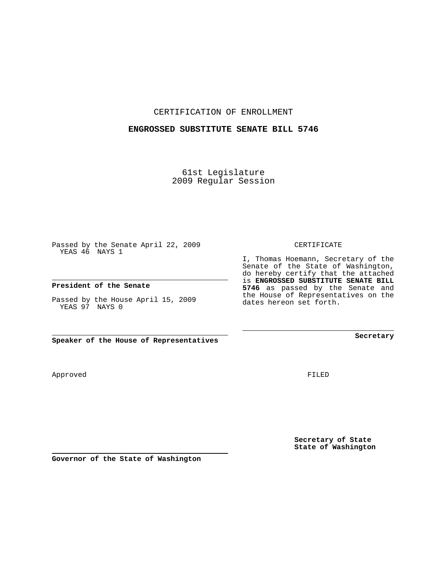CERTIFICATION OF ENROLLMENT

## **ENGROSSED SUBSTITUTE SENATE BILL 5746**

61st Legislature 2009 Regular Session

Passed by the Senate April 22, 2009 YEAS 46 NAYS 1

**President of the Senate**

Passed by the House April 15, 2009 YEAS 97 NAYS 0

**Speaker of the House of Representatives**

Approved

FILED

**Secretary of State State of Washington**

**Governor of the State of Washington**

CERTIFICATE

I, Thomas Hoemann, Secretary of the Senate of the State of Washington, do hereby certify that the attached is **ENGROSSED SUBSTITUTE SENATE BILL 5746** as passed by the Senate and the House of Representatives on the dates hereon set forth.

**Secretary**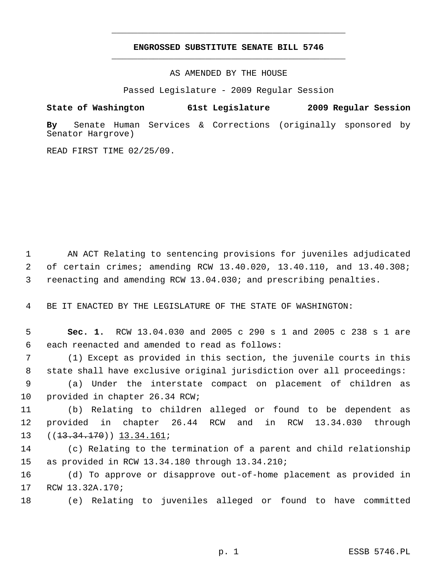## **ENGROSSED SUBSTITUTE SENATE BILL 5746** \_\_\_\_\_\_\_\_\_\_\_\_\_\_\_\_\_\_\_\_\_\_\_\_\_\_\_\_\_\_\_\_\_\_\_\_\_\_\_\_\_\_\_\_\_

\_\_\_\_\_\_\_\_\_\_\_\_\_\_\_\_\_\_\_\_\_\_\_\_\_\_\_\_\_\_\_\_\_\_\_\_\_\_\_\_\_\_\_\_\_

AS AMENDED BY THE HOUSE

Passed Legislature - 2009 Regular Session

## **State of Washington 61st Legislature 2009 Regular Session**

**By** Senate Human Services & Corrections (originally sponsored by Senator Hargrove)

READ FIRST TIME 02/25/09.

 1 AN ACT Relating to sentencing provisions for juveniles adjudicated 2 of certain crimes; amending RCW 13.40.020, 13.40.110, and 13.40.308; 3 reenacting and amending RCW 13.04.030; and prescribing penalties.

4 BE IT ENACTED BY THE LEGISLATURE OF THE STATE OF WASHINGTON:

 5 **Sec. 1.** RCW 13.04.030 and 2005 c 290 s 1 and 2005 c 238 s 1 are 6 each reenacted and amended to read as follows:

 7 (1) Except as provided in this section, the juvenile courts in this 8 state shall have exclusive original jurisdiction over all proceedings:

 9 (a) Under the interstate compact on placement of children as 10 provided in chapter 26.34 RCW;

11 (b) Relating to children alleged or found to be dependent as 12 provided in chapter 26.44 RCW and in RCW 13.34.030 through 13 ((<del>13.34.170</del>)) <u>13.34.161</u>;

14 (c) Relating to the termination of a parent and child relationship 15 as provided in RCW 13.34.180 through 13.34.210;

16 (d) To approve or disapprove out-of-home placement as provided in 17 RCW 13.32A.170;

18 (e) Relating to juveniles alleged or found to have committed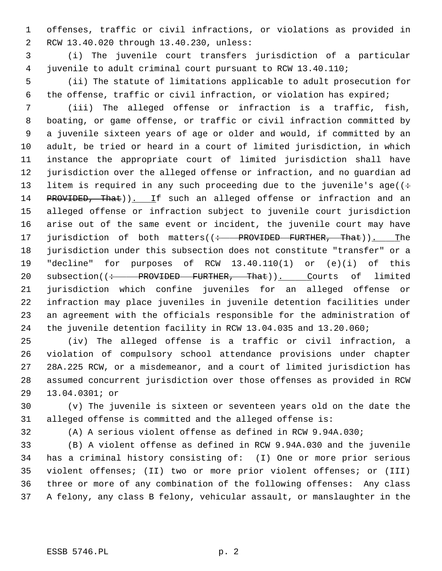1 offenses, traffic or civil infractions, or violations as provided in 2 RCW 13.40.020 through 13.40.230, unless:

 3 (i) The juvenile court transfers jurisdiction of a particular 4 juvenile to adult criminal court pursuant to RCW 13.40.110;

 5 (ii) The statute of limitations applicable to adult prosecution for 6 the offense, traffic or civil infraction, or violation has expired;

 7 (iii) The alleged offense or infraction is a traffic, fish, 8 boating, or game offense, or traffic or civil infraction committed by 9 a juvenile sixteen years of age or older and would, if committed by an 10 adult, be tried or heard in a court of limited jurisdiction, in which 11 instance the appropriate court of limited jurisdiction shall have 12 jurisdiction over the alleged offense or infraction, and no guardian ad 13 litem is required in any such proceeding due to the juvenile's age( $(+)$ 14 PROVIDED, That)). If such an alleged offense or infraction and an 15 alleged offense or infraction subject to juvenile court jurisdiction 16 arise out of the same event or incident, the juvenile court may have 17 jurisdiction of both matters((: PROVIDED FURTHER, That)). The 18 jurisdiction under this subsection does not constitute "transfer" or a 19 "decline" for purposes of RCW 13.40.110(1) or (e)(i) of this 20 subsection((: PROVIDED FURTHER, That)). Courts of limited 21 jurisdiction which confine juveniles for an alleged offense or 22 infraction may place juveniles in juvenile detention facilities under 23 an agreement with the officials responsible for the administration of 24 the juvenile detention facility in RCW 13.04.035 and 13.20.060;

25 (iv) The alleged offense is a traffic or civil infraction, a 26 violation of compulsory school attendance provisions under chapter 27 28A.225 RCW, or a misdemeanor, and a court of limited jurisdiction has 28 assumed concurrent jurisdiction over those offenses as provided in RCW 29 13.04.0301; or

30 (v) The juvenile is sixteen or seventeen years old on the date the 31 alleged offense is committed and the alleged offense is:

32 (A) A serious violent offense as defined in RCW 9.94A.030;

33 (B) A violent offense as defined in RCW 9.94A.030 and the juvenile 34 has a criminal history consisting of: (I) One or more prior serious 35 violent offenses; (II) two or more prior violent offenses; or (III) 36 three or more of any combination of the following offenses: Any class 37 A felony, any class B felony, vehicular assault, or manslaughter in the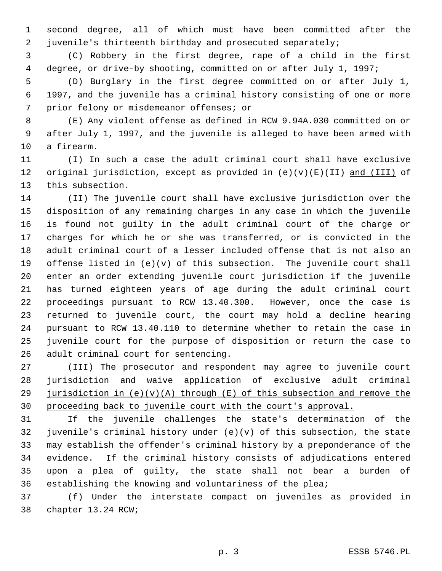1 second degree, all of which must have been committed after the 2 juvenile's thirteenth birthday and prosecuted separately;

 3 (C) Robbery in the first degree, rape of a child in the first 4 degree, or drive-by shooting, committed on or after July 1, 1997;

 5 (D) Burglary in the first degree committed on or after July 1, 6 1997, and the juvenile has a criminal history consisting of one or more 7 prior felony or misdemeanor offenses; or

 8 (E) Any violent offense as defined in RCW 9.94A.030 committed on or 9 after July 1, 1997, and the juvenile is alleged to have been armed with 10 a firearm.

11 (I) In such a case the adult criminal court shall have exclusive 12 original jurisdiction, except as provided in (e)(v)(E)(II) and (III) of 13 this subsection.

14 (II) The juvenile court shall have exclusive jurisdiction over the 15 disposition of any remaining charges in any case in which the juvenile 16 is found not guilty in the adult criminal court of the charge or 17 charges for which he or she was transferred, or is convicted in the 18 adult criminal court of a lesser included offense that is not also an 19 offense listed in  $(e)(v)$  of this subsection. The juvenile court shall 20 enter an order extending juvenile court jurisdiction if the juvenile 21 has turned eighteen years of age during the adult criminal court 22 proceedings pursuant to RCW 13.40.300. However, once the case is 23 returned to juvenile court, the court may hold a decline hearing 24 pursuant to RCW 13.40.110 to determine whether to retain the case in 25 juvenile court for the purpose of disposition or return the case to 26 adult criminal court for sentencing.

 (III) The prosecutor and respondent may agree to juvenile court jurisdiction and waive application of exclusive adult criminal 29 jurisdiction in  $(e)(v)(A)$  through  $(E)$  of this subsection and remove the proceeding back to juvenile court with the court's approval.

31 If the juvenile challenges the state's determination of the 32 juvenile's criminal history under  $(e)(v)$  of this subsection, the state 33 may establish the offender's criminal history by a preponderance of the 34 evidence. If the criminal history consists of adjudications entered 35 upon a plea of guilty, the state shall not bear a burden of 36 establishing the knowing and voluntariness of the plea;

37 (f) Under the interstate compact on juveniles as provided in 38 chapter 13.24 RCW;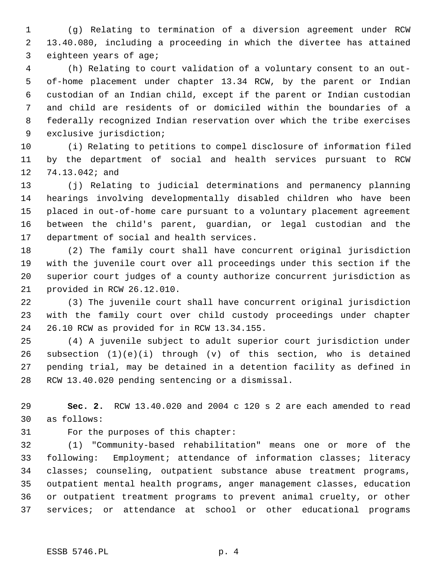1 (g) Relating to termination of a diversion agreement under RCW 2 13.40.080, including a proceeding in which the divertee has attained 3 eighteen years of age;

 4 (h) Relating to court validation of a voluntary consent to an out- 5 of-home placement under chapter 13.34 RCW, by the parent or Indian 6 custodian of an Indian child, except if the parent or Indian custodian 7 and child are residents of or domiciled within the boundaries of a 8 federally recognized Indian reservation over which the tribe exercises 9 exclusive jurisdiction;

10 (i) Relating to petitions to compel disclosure of information filed 11 by the department of social and health services pursuant to RCW 12 74.13.042; and

13 (j) Relating to judicial determinations and permanency planning 14 hearings involving developmentally disabled children who have been 15 placed in out-of-home care pursuant to a voluntary placement agreement 16 between the child's parent, guardian, or legal custodian and the 17 department of social and health services.

18 (2) The family court shall have concurrent original jurisdiction 19 with the juvenile court over all proceedings under this section if the 20 superior court judges of a county authorize concurrent jurisdiction as 21 provided in RCW 26.12.010.

22 (3) The juvenile court shall have concurrent original jurisdiction 23 with the family court over child custody proceedings under chapter 24 26.10 RCW as provided for in RCW 13.34.155.

25 (4) A juvenile subject to adult superior court jurisdiction under 26 subsection (1)(e)(i) through (v) of this section, who is detained 27 pending trial, may be detained in a detention facility as defined in 28 RCW 13.40.020 pending sentencing or a dismissal.

29 **Sec. 2.** RCW 13.40.020 and 2004 c 120 s 2 are each amended to read 30 as follows:

31 For the purposes of this chapter:

32 (1) "Community-based rehabilitation" means one or more of the 33 following: Employment; attendance of information classes; literacy 34 classes; counseling, outpatient substance abuse treatment programs, 35 outpatient mental health programs, anger management classes, education 36 or outpatient treatment programs to prevent animal cruelty, or other 37 services; or attendance at school or other educational programs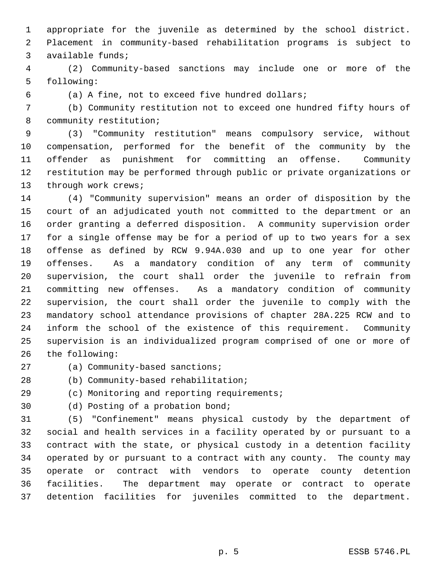1 appropriate for the juvenile as determined by the school district. 2 Placement in community-based rehabilitation programs is subject to 3 available funds;

 4 (2) Community-based sanctions may include one or more of the 5 following:

6 (a) A fine, not to exceed five hundred dollars;

 7 (b) Community restitution not to exceed one hundred fifty hours of 8 community restitution;

 9 (3) "Community restitution" means compulsory service, without 10 compensation, performed for the benefit of the community by the 11 offender as punishment for committing an offense. Community 12 restitution may be performed through public or private organizations or 13 through work crews;

14 (4) "Community supervision" means an order of disposition by the 15 court of an adjudicated youth not committed to the department or an 16 order granting a deferred disposition. A community supervision order 17 for a single offense may be for a period of up to two years for a sex 18 offense as defined by RCW 9.94A.030 and up to one year for other 19 offenses. As a mandatory condition of any term of community 20 supervision, the court shall order the juvenile to refrain from 21 committing new offenses. As a mandatory condition of community 22 supervision, the court shall order the juvenile to comply with the 23 mandatory school attendance provisions of chapter 28A.225 RCW and to 24 inform the school of the existence of this requirement. Community 25 supervision is an individualized program comprised of one or more of 26 the following:

- 27 (a) Community-based sanctions;
- 28 (b) Community-based rehabilitation;
- 29 (c) Monitoring and reporting requirements;
- 30 (d) Posting of a probation bond;

31 (5) "Confinement" means physical custody by the department of 32 social and health services in a facility operated by or pursuant to a 33 contract with the state, or physical custody in a detention facility 34 operated by or pursuant to a contract with any county. The county may 35 operate or contract with vendors to operate county detention 36 facilities. The department may operate or contract to operate 37 detention facilities for juveniles committed to the department.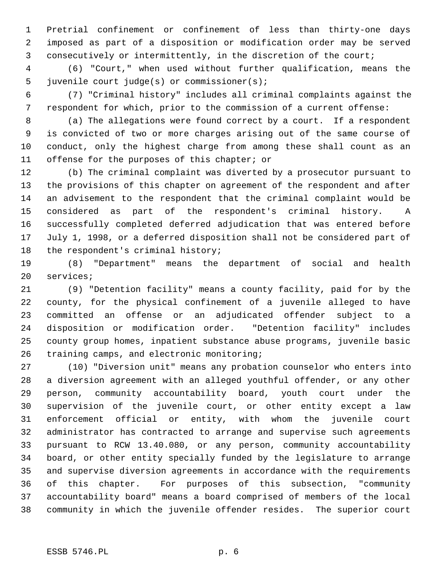1 Pretrial confinement or confinement of less than thirty-one days 2 imposed as part of a disposition or modification order may be served 3 consecutively or intermittently, in the discretion of the court;

 4 (6) "Court," when used without further qualification, means the 5 juvenile court judge(s) or commissioner(s);

 6 (7) "Criminal history" includes all criminal complaints against the 7 respondent for which, prior to the commission of a current offense:

 8 (a) The allegations were found correct by a court. If a respondent 9 is convicted of two or more charges arising out of the same course of 10 conduct, only the highest charge from among these shall count as an 11 offense for the purposes of this chapter; or

12 (b) The criminal complaint was diverted by a prosecutor pursuant to 13 the provisions of this chapter on agreement of the respondent and after 14 an advisement to the respondent that the criminal complaint would be 15 considered as part of the respondent's criminal history. A 16 successfully completed deferred adjudication that was entered before 17 July 1, 1998, or a deferred disposition shall not be considered part of 18 the respondent's criminal history;

19 (8) "Department" means the department of social and health 20 services;

21 (9) "Detention facility" means a county facility, paid for by the 22 county, for the physical confinement of a juvenile alleged to have 23 committed an offense or an adjudicated offender subject to a 24 disposition or modification order. "Detention facility" includes 25 county group homes, inpatient substance abuse programs, juvenile basic 26 training camps, and electronic monitoring;

27 (10) "Diversion unit" means any probation counselor who enters into 28 a diversion agreement with an alleged youthful offender, or any other 29 person, community accountability board, youth court under the 30 supervision of the juvenile court, or other entity except a law 31 enforcement official or entity, with whom the juvenile court 32 administrator has contracted to arrange and supervise such agreements 33 pursuant to RCW 13.40.080, or any person, community accountability 34 board, or other entity specially funded by the legislature to arrange 35 and supervise diversion agreements in accordance with the requirements 36 of this chapter. For purposes of this subsection, "community 37 accountability board" means a board comprised of members of the local 38 community in which the juvenile offender resides. The superior court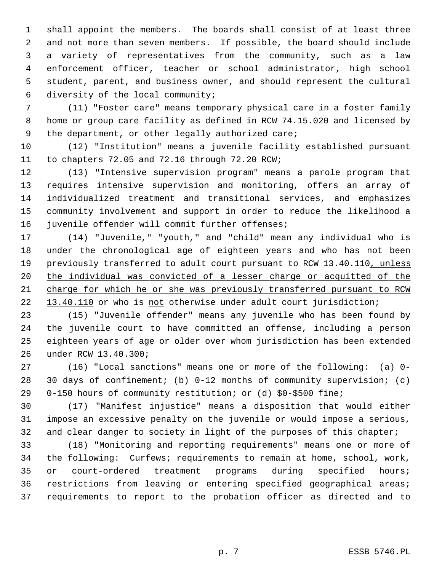1 shall appoint the members. The boards shall consist of at least three 2 and not more than seven members. If possible, the board should include 3 a variety of representatives from the community, such as a law 4 enforcement officer, teacher or school administrator, high school 5 student, parent, and business owner, and should represent the cultural 6 diversity of the local community;

 7 (11) "Foster care" means temporary physical care in a foster family 8 home or group care facility as defined in RCW 74.15.020 and licensed by 9 the department, or other legally authorized care;

10 (12) "Institution" means a juvenile facility established pursuant 11 to chapters 72.05 and 72.16 through 72.20 RCW;

12 (13) "Intensive supervision program" means a parole program that 13 requires intensive supervision and monitoring, offers an array of 14 individualized treatment and transitional services, and emphasizes 15 community involvement and support in order to reduce the likelihood a 16 juvenile offender will commit further offenses;

17 (14) "Juvenile," "youth," and "child" mean any individual who is 18 under the chronological age of eighteen years and who has not been 19 previously transferred to adult court pursuant to RCW 13.40.110, unless 20 the individual was convicted of a lesser charge or acquitted of the 21 charge for which he or she was previously transferred pursuant to RCW 22 13.40.110 or who is not otherwise under adult court jurisdiction;

23 (15) "Juvenile offender" means any juvenile who has been found by 24 the juvenile court to have committed an offense, including a person 25 eighteen years of age or older over whom jurisdiction has been extended 26 under RCW 13.40.300;

27 (16) "Local sanctions" means one or more of the following: (a) 0- 28 30 days of confinement; (b) 0-12 months of community supervision; (c) 29 0-150 hours of community restitution; or (d) \$0-\$500 fine;

30 (17) "Manifest injustice" means a disposition that would either 31 impose an excessive penalty on the juvenile or would impose a serious, 32 and clear danger to society in light of the purposes of this chapter;

33 (18) "Monitoring and reporting requirements" means one or more of 34 the following: Curfews; requirements to remain at home, school, work, 35 or court-ordered treatment programs during specified hours; 36 restrictions from leaving or entering specified geographical areas; 37 requirements to report to the probation officer as directed and to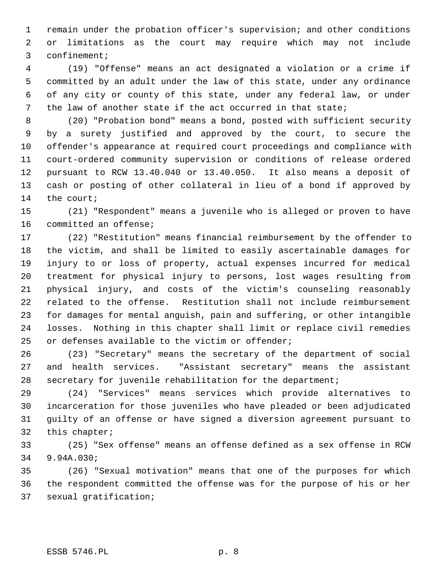1 remain under the probation officer's supervision; and other conditions 2 or limitations as the court may require which may not include 3 confinement;

 4 (19) "Offense" means an act designated a violation or a crime if 5 committed by an adult under the law of this state, under any ordinance 6 of any city or county of this state, under any federal law, or under 7 the law of another state if the act occurred in that state;

 8 (20) "Probation bond" means a bond, posted with sufficient security 9 by a surety justified and approved by the court, to secure the 10 offender's appearance at required court proceedings and compliance with 11 court-ordered community supervision or conditions of release ordered 12 pursuant to RCW 13.40.040 or 13.40.050. It also means a deposit of 13 cash or posting of other collateral in lieu of a bond if approved by 14 the court;

15 (21) "Respondent" means a juvenile who is alleged or proven to have 16 committed an offense;

17 (22) "Restitution" means financial reimbursement by the offender to 18 the victim, and shall be limited to easily ascertainable damages for 19 injury to or loss of property, actual expenses incurred for medical 20 treatment for physical injury to persons, lost wages resulting from 21 physical injury, and costs of the victim's counseling reasonably 22 related to the offense. Restitution shall not include reimbursement 23 for damages for mental anguish, pain and suffering, or other intangible 24 losses. Nothing in this chapter shall limit or replace civil remedies 25 or defenses available to the victim or offender;

26 (23) "Secretary" means the secretary of the department of social 27 and health services. "Assistant secretary" means the assistant 28 secretary for juvenile rehabilitation for the department;

29 (24) "Services" means services which provide alternatives to 30 incarceration for those juveniles who have pleaded or been adjudicated 31 guilty of an offense or have signed a diversion agreement pursuant to 32 this chapter;

33 (25) "Sex offense" means an offense defined as a sex offense in RCW 34 9.94A.030;

35 (26) "Sexual motivation" means that one of the purposes for which 36 the respondent committed the offense was for the purpose of his or her 37 sexual gratification;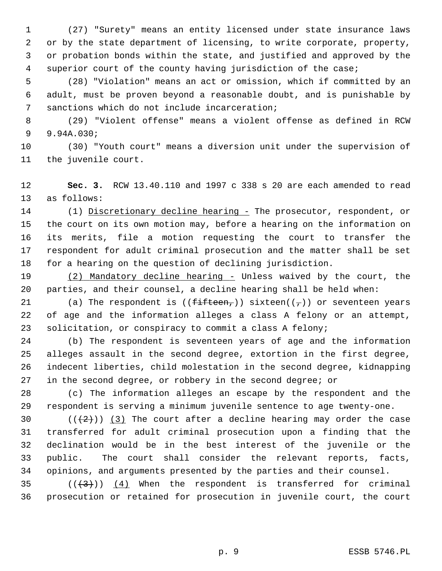1 (27) "Surety" means an entity licensed under state insurance laws 2 or by the state department of licensing, to write corporate, property, 3 or probation bonds within the state, and justified and approved by the 4 superior court of the county having jurisdiction of the case;

 5 (28) "Violation" means an act or omission, which if committed by an 6 adult, must be proven beyond a reasonable doubt, and is punishable by 7 sanctions which do not include incarceration;

 8 (29) "Violent offense" means a violent offense as defined in RCW 9 9.94A.030;

10 (30) "Youth court" means a diversion unit under the supervision of 11 the juvenile court.

12 **Sec. 3.** RCW 13.40.110 and 1997 c 338 s 20 are each amended to read 13 as follows:

14 (1) Discretionary decline hearing - The prosecutor, respondent, or 15 the court on its own motion may, before a hearing on the information on 16 its merits, file a motion requesting the court to transfer the 17 respondent for adult criminal prosecution and the matter shall be set 18 for a hearing on the question of declining jurisdiction.

19 (2) Mandatory decline hearing - Unless waived by the court, the 20 parties, and their counsel, a decline hearing shall be held when:

21 (a) The respondent is  $((f\text{-}f\text{-}f\text{-}f\text{-}f))$  sixteen $((f\text{-}f))$  or seventeen years 22 of age and the information alleges a class A felony or an attempt, 23 solicitation, or conspiracy to commit a class A felony;

24 (b) The respondent is seventeen years of age and the information 25 alleges assault in the second degree, extortion in the first degree, 26 indecent liberties, child molestation in the second degree, kidnapping 27 in the second degree, or robbery in the second degree; or

28 (c) The information alleges an escape by the respondent and the 29 respondent is serving a minimum juvenile sentence to age twenty-one.

30  $((+2)^{n})$  (3) The court after a decline hearing may order the case 31 transferred for adult criminal prosecution upon a finding that the 32 declination would be in the best interest of the juvenile or the 33 public. The court shall consider the relevant reports, facts, 34 opinions, and arguments presented by the parties and their counsel.

35  $((+3))$   $(4)$  When the respondent is transferred for criminal 36 prosecution or retained for prosecution in juvenile court, the court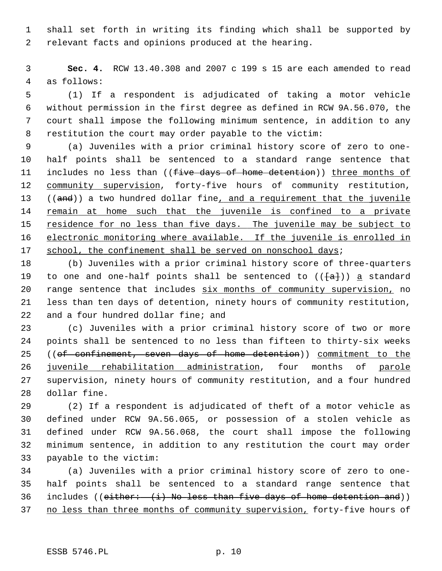1 shall set forth in writing its finding which shall be supported by 2 relevant facts and opinions produced at the hearing.

 3 **Sec. 4.** RCW 13.40.308 and 2007 c 199 s 15 are each amended to read 4 as follows:

 5 (1) If a respondent is adjudicated of taking a motor vehicle 6 without permission in the first degree as defined in RCW 9A.56.070, the 7 court shall impose the following minimum sentence, in addition to any 8 restitution the court may order payable to the victim:

 9 (a) Juveniles with a prior criminal history score of zero to one-10 half points shall be sentenced to a standard range sentence that 11 includes no less than ((five days of home detention)) three months of 12 community supervision, forty-five hours of community restitution, 13 ((and)) a two hundred dollar fine, and a requirement that the juvenile 14 remain at home such that the juvenile is confined to a private 15 residence for no less than five days. The juvenile may be subject to 16 electronic monitoring where available. If the juvenile is enrolled in 17 school, the confinement shall be served on nonschool days;

18 (b) Juveniles with a prior criminal history score of three-quarters 19 to one and one-half points shall be sentenced to  $(\{\texttt{a}\})$  a standard 20 range sentence that includes six months of community supervision, no 21 less than ten days of detention, ninety hours of community restitution, 22 and a four hundred dollar fine; and

23 (c) Juveniles with a prior criminal history score of two or more 24 points shall be sentenced to no less than fifteen to thirty-six weeks 25 ((of confinement, seven days of home detention)) commitment to the 26 juvenile rehabilitation administration, four months of parole 27 supervision, ninety hours of community restitution, and a four hundred 28 dollar fine.

29 (2) If a respondent is adjudicated of theft of a motor vehicle as 30 defined under RCW 9A.56.065, or possession of a stolen vehicle as 31 defined under RCW 9A.56.068, the court shall impose the following 32 minimum sentence, in addition to any restitution the court may order 33 payable to the victim:

34 (a) Juveniles with a prior criminal history score of zero to one-35 half points shall be sentenced to a standard range sentence that 36 includes (( $either:$   $(i)$  No less than five days of home detention and)) 37 no less than three months of community supervision, forty-five hours of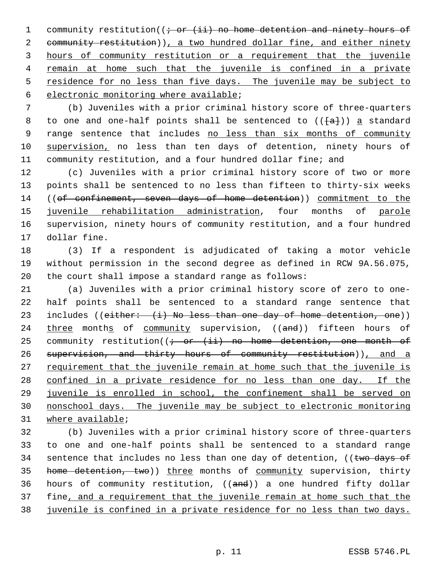1 community restitution( $(i - or (ii)$  no home detention and ninety hours of 2 community restitution)), a two hundred dollar fine, and either ninety hours of community restitution or a requirement that the juvenile remain at home such that the juvenile is confined in a private residence for no less than five days. The juvenile may be subject to electronic monitoring where available;

 7 (b) Juveniles with a prior criminal history score of three-quarters 8 to one and one-half points shall be sentenced to  $(\overline{\{a\}})$  a standard 9 range sentence that includes no less than six months of community 10 supervision, no less than ten days of detention, ninety hours of 11 community restitution, and a four hundred dollar fine; and

12 (c) Juveniles with a prior criminal history score of two or more 13 points shall be sentenced to no less than fifteen to thirty-six weeks 14 ((of confinement, seven days of home detention)) commitment to the 15 juvenile rehabilitation administration, four months of parole 16 supervision, ninety hours of community restitution, and a four hundred 17 dollar fine.

18 (3) If a respondent is adjudicated of taking a motor vehicle 19 without permission in the second degree as defined in RCW 9A.56.075, 20 the court shall impose a standard range as follows:

21 (a) Juveniles with a prior criminal history score of zero to one-22 half points shall be sentenced to a standard range sentence that 23 includes (( $either: (-i)$  No less than one day of home detention, one)) 24 three months of community supervision, ((and)) fifteen hours of 25 community restitution( $\left(i - or + i\right)i$  no home detention, one month of 26 supervision, and thirty hours of community restitution)), and a 27 requirement that the juvenile remain at home such that the juvenile is 28 confined in a private residence for no less than one day. If the 29 juvenile is enrolled in school, the confinement shall be served on 30 nonschool days. The juvenile may be subject to electronic monitoring 31 where available;

32 (b) Juveniles with a prior criminal history score of three-quarters 33 to one and one-half points shall be sentenced to a standard range 34 sentence that includes no less than one day of detention, (( $t$ wo days of 35 home detention, two)) three months of community supervision, thirty 36 hours of community restitution, ((and)) a one hundred fifty dollar 37 fine, and a requirement that the juvenile remain at home such that the 38 juvenile is confined in a private residence for no less than two days.